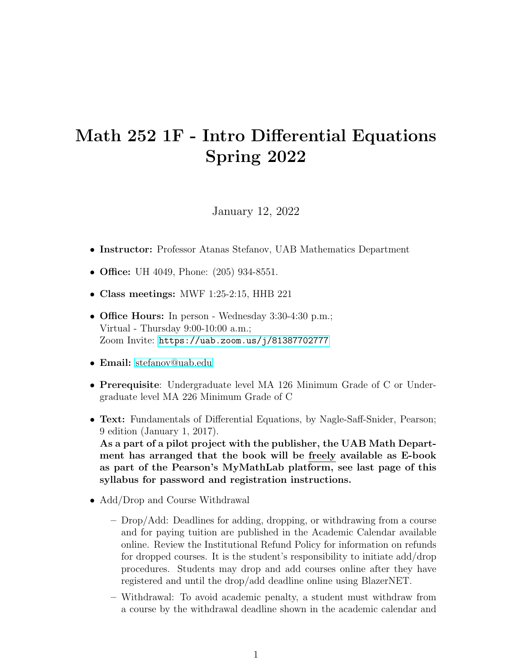## Math 252 1F - Intro Differential Equations Spring 2022

January 12, 2022

- Instructor: Professor Atanas Stefanov, UAB Mathematics Department
- Office: UH 4049, Phone: (205) 934-8551.
- Class meetings: MWF 1:25-2:15, HHB 221
- Office Hours: In person Wednesday 3:30-4:30 p.m.; Virtual - Thursday 9:00-10:00 a.m.; Zoom Invite: <https://uab.zoom.us/j/81387702777>
- Email: [stefanov@uab.edu](mailto:stefanov@uab.edu)
- Prerequisite: Undergraduate level MA 126 Minimum Grade of C or Undergraduate level MA 226 Minimum Grade of C
- Text: Fundamentals of Differential Equations, by Nagle-Saff-Snider, Pearson; 9 edition (January 1, 2017). As a part of a pilot project with the publisher, the UAB Math Department has arranged that the book will be freely available as E-book as part of the Pearson's MyMathLab platform, see last page of this syllabus for password and registration instructions.
- Add/Drop and Course Withdrawal
	- Drop/Add: Deadlines for adding, dropping, or withdrawing from a course and for paying tuition are published in the Academic Calendar available online. Review the Institutional Refund Policy for information on refunds for dropped courses. It is the student's responsibility to initiate add/drop procedures. Students may drop and add courses online after they have registered and until the drop/add deadline online using BlazerNET.
	- Withdrawal: To avoid academic penalty, a student must withdraw from a course by the withdrawal deadline shown in the academic calendar and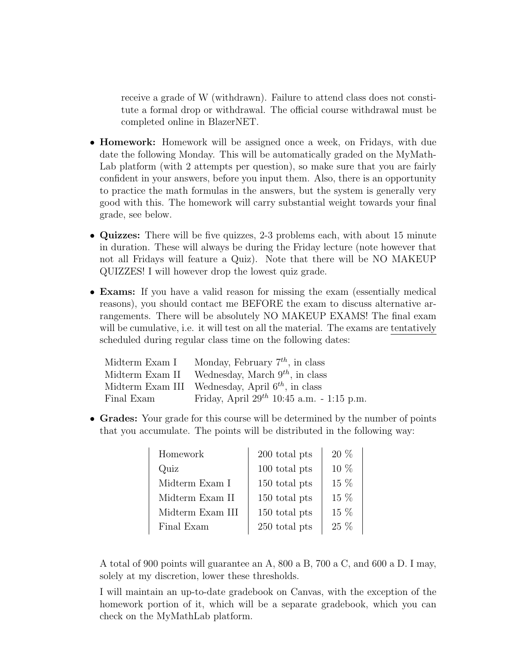receive a grade of W (withdrawn). Failure to attend class does not constitute a formal drop or withdrawal. The official course withdrawal must be completed online in BlazerNET.

- Homework: Homework will be assigned once a week, on Fridays, with due date the following Monday. This will be automatically graded on the MyMath-Lab platform (with 2 attempts per question), so make sure that you are fairly confident in your answers, before you input them. Also, there is an opportunity to practice the math formulas in the answers, but the system is generally very good with this. The homework will carry substantial weight towards your final grade, see below.
- Quizzes: There will be five quizzes, 2-3 problems each, with about 15 minute in duration. These will always be during the Friday lecture (note however that not all Fridays will feature a Quiz). Note that there will be NO MAKEUP QUIZZES! I will however drop the lowest quiz grade.
- Exams: If you have a valid reason for missing the exam (essentially medical reasons), you should contact me BEFORE the exam to discuss alternative arrangements. There will be absolutely NO MAKEUP EXAMS! The final exam will be cumulative, i.e. it will test on all the material. The exams are tentatively scheduled during regular class time on the following dates:

| Midterm Exam I | Monday, February $7^{th}$ , in class                  |
|----------------|-------------------------------------------------------|
|                | Midterm Exam II Wednesday, March $9^{th}$ , in class  |
|                | Midterm Exam III Wednesday, April $6^{th}$ , in class |
| Final Exam     | Friday, April $29^{th}$ 10:45 a.m. - 1:15 p.m.        |

• Grades: Your grade for this course will be determined by the number of points that you accumulate. The points will be distributed in the following way:

| Homework         | 200 total pts | $20\%$ |
|------------------|---------------|--------|
| Quiz             | 100 total pts | $10\%$ |
| Midterm Exam I   | 150 total pts | $15\%$ |
| Midterm Exam II  | 150 total pts | $15\%$ |
| Midterm Exam III | 150 total pts | $15\%$ |
| Final Exam       | 250 total pts | $25\%$ |

A total of 900 points will guarantee an A, 800 a B, 700 a C, and 600 a D. I may, solely at my discretion, lower these thresholds.

I will maintain an up-to-date gradebook on Canvas, with the exception of the homework portion of it, which will be a separate gradebook, which you can check on the MyMathLab platform.